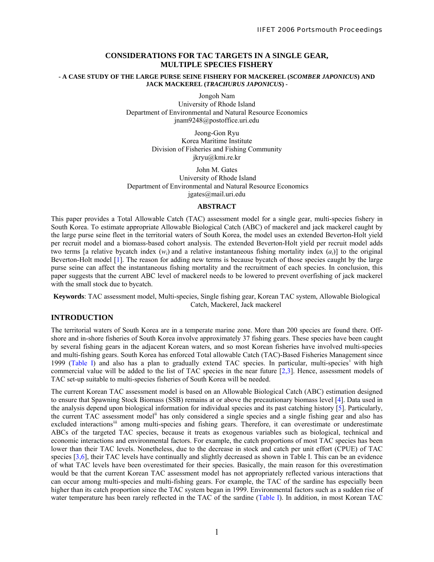## **CONSIDERATIONS FOR TAC TARGETS IN A SINGLE GEAR, MULTIPLE SPECIES FISHERY**

#### **- A CASE STUDY OF THE LARGE PURSE SEINE FISHERY FOR MACKEREL (***SCOMBER JAPONICUS***) AND JACK MACKEREL (***TRACHURUS JAPONICUS***) -**

Jongoh Nam

University of Rhode Island Department of Environmental and Natural Resource Economics jnam9248@postoffice.uri.edu

> Jeong-Gon Ryu Korea Maritime Institute Division of Fisheries and Fishing Community jkryu@kmi.re.kr

John M. Gates University of Rhode Island Department of Environmental and Natural Resource Economics jgates@mail.uri.edu

## **ABSTRACT**

This paper provides a Total Allowable Catch (TAC) assessment model for a single gear, multi-species fishery in South Korea. To estimate appropriate Allowable Biological Catch (ABC) of mackerel and jack mackerel caught by the large purse seine fleet in the territorial waters of South Korea, the model uses an extended Beverton-Holt yield per recruit model and a biomass-based cohort analysis. The extended Beverton-Holt yield per recruit model adds two terms [a relative bycatch index  $(w<sub>i</sub>)$  and a relative instantaneous fishing mortality index  $(a<sub>i</sub>)$ ] to the original Beverton-Holt model [1]. The reason for adding new terms is because bycatch of those species caught by the large purse seine can affect the instantaneous fishing mortality and the recruitment of each species. In conclusion, this paper suggests that the current ABC level of mackerel needs to be lowered to prevent overfishing of jack mackerel with the small stock due to bycatch.

**Keywords**: TAC assessment model, Multi-species, Single fishing gear, Korean TAC system, Allowable Biological Catch, Mackerel, Jack mackerel

# **INTRODUCTION**

The territorial waters of South Korea are in a temperate marine zone. More than 200 species are found there. Offshore and in-shore fisheries of South Korea involve approximately 37 fishing gears. These species have been caught by several fishing gears in the adjacent Korean waters, and so most Korean fisheries have involved multi-species and multi-fishing gears. South Korea has enforced Total allowable Catch (TAC)-Based Fisheries Management since 1999 (Table I) and also has a plan to gradually extend TAC species. In particular, multi-species<sup>1</sup> [w](#page-12-0)ith high commercial value will be added to the list of TAC species in the near future [2,3]. Hence, assessment models of TAC set-up suitable to multi-species fisheries of South Korea will be needed.

The current Korean TAC assessment model is based on an Allowable Biological Catch (ABC) estimation designed to ensure that Spawning Stock Biomass (SSB) remains at or above the precautionary biomass level [4]. Data used in the analysis depend upon biological information for individual species and its past catching history [5]. Particularly, the current TAC assessment model[ii](#page-12-1) has only considered a single species and a single fishing gear and also has excluded interactions<sup>iii</sup> among multi-species and fishing gears. Therefore, it can overestimate or underestimate ABCs of the targeted TAC species, because it treats as exogenous variables such as biological, technical and economic interactions and environmental factors. For example, the catch proportions of most TAC species has been lower than their TAC levels. Nonetheless, due to the decrease in stock and catch per unit effort (CPUE) of TAC species [3,6], their TAC levels have continually and slightly decreased as shown in Table I. This can be an evidence of what TAC levels have been overestimated for their species. Basically, the main reason for this overestimation would be that the current Korean TAC assessment model has not appropriately reflected various interactions that can occur among multi-species and multi-fishing gears. For example, the TAC of the sardine has especially been higher than its catch proportion since the TAC system began in 1999. Environmental factors such as a sudden rise of water temperature has been rarely reflected in the TAC of the sardine (Table I). In addition, in most Korean TAC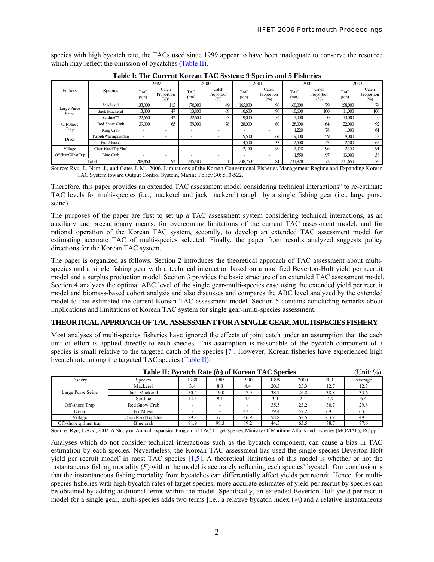species with high bycatch rate, the TACs used since 1999 appear to have been inadequate to conserve the resource which may reflect the omission of bycatches (Table II).

|                         |                          | 1999                     |                                 | 2000                     |                            | 2001         |                               | 2002                |                            | 2003                |                               |
|-------------------------|--------------------------|--------------------------|---------------------------------|--------------------------|----------------------------|--------------|-------------------------------|---------------------|----------------------------|---------------------|-------------------------------|
| Fishery                 | Species                  | <b>TAC</b><br>(ton)      | Catch<br>Proportion<br>$(\%)^*$ | TAC<br>(ton)             | Catch<br>Proportion<br>(%) | TAC<br>(ton) | Catch<br>Proportion<br>$(\%)$ | <b>TAC</b><br>(ton) | Catch<br>Proportion<br>(%) | <b>TAC</b><br>(ton) | Catch<br>Proportion<br>$(\%)$ |
|                         | Mackerel                 | 133,000                  | 115                             | 170,000                  | 49                         | 165,000      | 96                            | 160,000             | 79                         | 158,000             | 74                            |
| Large Purse<br>Seine    | Jack Mackerel            | 13,800                   | 47                              | 13,800                   | 68                         | 10.600       | 90                            | 10,600              | 100                        | 11,000              | 100                           |
|                         | Sardine**                | 22,660                   | 42                              | 22,600                   |                            | 19,000       | 0.6                           | 17,000              | $\theta$                   | 13,000              |                               |
| Off-Shore               | Red Snow Crab            | 39,000                   | 65                              | 39,000                   | 78                         | 28,000       | 69                            | 28,000              | 64                         | 22,000              | 92                            |
| Trap                    | King Crab                | -                        |                                 | $\overline{\phantom{a}}$ | $\overline{\phantom{a}}$   | -            |                               | 1,220               | 78                         | 1,000               | 61                            |
| Diver                   | Purplish Washington Clam | $\overline{\phantom{0}}$ |                                 | $\overline{a}$           |                            | 9.500        | 64                            | 9,000               | 59                         | 9,000               | 52                            |
|                         | Fun Mussel               | $\overline{\phantom{0}}$ |                                 | $\overline{\phantom{a}}$ |                            | 4.500        | 33                            | 2.500               | 57                         | 2,500               | 65                            |
| Village                 | Cheju Island Top Shell   | $\overline{\phantom{0}}$ |                                 | -                        |                            | 2,150        | 90                            | 2,058               | 96                         | 2,150               | 91                            |
| Off-Shore Gill Net Trap | <b>Blue Crab</b>         |                          |                                 | -                        |                            | -            |                               | 1,550               | 97                         | 13,000              | 38                            |
|                         | Total                    | 208.460                  | 93                              | 245.400                  | 51                         | 238,750      | 81                            | 231.928             | 72                         | 231,650             | 70                            |

**Table I: The Current Korean TAC System: 9 Species and 5 Fisheries**

Source: Ryu, J., Nam, J., and Gates J. M., 2006. Limitations of the Korean Conventional Fisheries Management Regime and Expanding Korean TAC System toward Output Control System, Marine Policy 30: 510-522.

Therefore, this paper provides an extended TAC assessment model considering technical interactions<sup>[iv](#page-12-3)</sup> to re-estimate TAC levels for multi-species (i.e., mackerel and jack mackerel) caught by a single fishing gear (i.e., large purse seine).

The purposes of the paper are first to set up a TAC assessment system considering technical interactions, as an auxiliary and precautionary means, for overcoming limitations of the current TAC assessment model, and for rational operation of the Korean TAC system, secondly, to develop an extended TAC assessment model for estimating accurate TAC of multi-species selected. Finally, the paper from results analyzed suggests policy directions for the Korean TAC system.

The paper is organized as follows. Section 2 introduces the theoretical approach of TAC assessment about multispecies and a single fishing gear with a technical interaction based on a modified Beverton-Holt yield per recruit model and a surplus production model. Section 3 provides the basic structure of an extended TAC assessment model. Section 4 analyzes the optimal ABC level of the single gear-multi-species case using the extended yield per recruit model and biomass-based cohort analysis and also discusses and compares the ABC level analyzed by the extended model to that estimated the current Korean TAC assessment model. Section 5 contains concluding remarks about implications and limitations of Korean TAC system for single gear-multi-species assessment.

# **THEORTICAL APPROACH OFTAC ASSESSMENT FOR A SINGLE GEAR, MULTISPECIES FISHERY**

Most analyses of multi-species fisheries have ignored the effects of joint catch under an assumption that the each unit of effort is applied directly to each species. This assumption is reasonable of the bycatch component of a species is small relative to the targeted catch of the species [7]. However, Korean fisheries have experienced high bycatch rate among the targeted TAC species (Table II).

| (Unit: %)<br>Table II: Bycatch Rate $(b_i)$ of Korean TAC Species |                        |      |      |      |      |      |      |         |  |  |
|-------------------------------------------------------------------|------------------------|------|------|------|------|------|------|---------|--|--|
| Fishery                                                           | <b>Species</b>         | 1980 | 1985 | 1990 | 1995 | 2000 | 2001 | Average |  |  |
|                                                                   | Mackerel               | 3.4  | 8.8  | 4.4  | 20.3 | 25.3 | 12.7 | 12.5    |  |  |
| Large Purse Seine                                                 | Jack Mackerel          | 50.4 | 19.0 | 27.9 | 38.7 | 26.8 | 38.8 | 33.6    |  |  |
|                                                                   | Sardine                | 14.5 | 9.1  | 4.4  | 3.4  | 2.1  |      | 6.4     |  |  |
| Off-shore Trap                                                    | Red Snow Crab          |      |      |      | 35.5 | 23.2 | 30.7 | 29.8    |  |  |
| Diver                                                             | Fun Mussel             |      |      | 47.3 | 79.4 | 57.2 | 69.3 | 63.3    |  |  |
| Village                                                           | Cheju Island Top Shell | 29.8 | 37.1 | 46.9 | 58.8 | 62.5 | 63.9 | 49.8    |  |  |
| Off-shore gill net trap                                           | Blue crab              | 91.9 | 98.3 | 89.2 | 44.3 | 63.5 | 78.7 | 77.6    |  |  |

Source: Ryu,J. *et al*., 2002. A Study on Annual Expansion Program of TAC Target Species, Ministry Of Maritime Affairs and Fisheries (MOMAF), 167 pp.

Analyses which do not consider technical interactions such as the bycatch component, can cause a bias in TAC estimation by each species. Nevertheless, the Korean TAC assessment has used the single species Beverton-Holt yield per recruit model<sup> $v$ </sup> in most TAC species [1,5]. A theoretical limitation of this model is whether or not the instantaneous fishing mortality (*F*) within the model is accurately reflecting each species' bycatch. Our conclusion is that the instantaneous fishing mortality from bycatches can differentially affect yields per recruit. Hence, for multispecies fisheries with high bycatch rates of target species, more accurate estimates of yield per recruit by species can be obtained by adding additional terms within the model. Specifically, an extended Beverton-Holt yield per recruit model for a single gear, multi-species adds two terms [i.e., a relative bycatch index (*wi*) and a relative instantaneous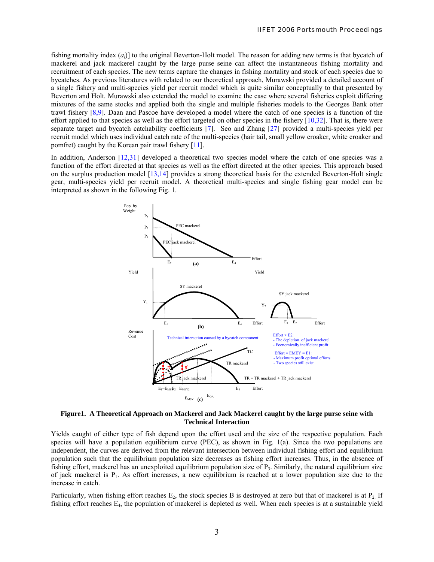fishing mortality index (*ai*)] to the original Beverton-Holt model. The reason for adding new terms is that bycatch of mackerel and jack mackerel caught by the large purse seine can affect the instantaneous fishing mortality and recruitment of each species. The new terms capture the changes in fishing mortality and stock of each species due to bycatches. As previous literatures with related to our theoretical approach, Murawski provided a detailed account of a single fishery and multi-species yield per recruit model which is quite similar conceptually to that presented by Beverton and Holt. Murawski also extended the model to examine the case where several fisheries exploit differing mixtures of the same stocks and applied both the single and multiple fisheries models to the Georges Bank otter trawl fishery [8,9]. Daan and Pascoe have developed a model where the catch of one species is a function of the effort applied to that species as well as the effort targeted on other species in the fishery  $[10,32]$ . That is, there were separate target and bycatch catchability coefficients [7]. Seo and Zhang [27] provided a multi-species yield per recruit model which uses individual catch rate of the multi-species (hair tail, small yellow croaker, white croaker and pomfret) caught by the Korean pair trawl fishery [11].

In addition, Anderson [12,31] developed a theoretical two species model where the catch of one species was a function of the effort directed at that species as well as the effort directed at the other species. This approach based on the surplus production model [13,14] provides a strong theoretical basis for the extended Beverton-Holt single gear, multi-species yield per recruit model. A theoretical multi-species and single fishing gear model can be interpreted as shown in the following Fig. 1.



**Figure1. A Theoretical Approach on Mackerel and Jack Mackerel caught by the large purse seine with Technical Interaction** 

Yields caught of either type of fish depend upon the effort used and the size of the respective population. Each species will have a population equilibrium curve (PEC), as shown in Fig. 1(a). Since the two populations are independent, the curves are derived from the relevant intersection between individual fishing effort and equilibrium population such that the equilibrium population size decreases as fishing effort increases. Thus, in the absence of fishing effort, mackerel has an unexploited equilibrium population size of  $P_3$ . Similarly, the natural equilibrium size of jack mackerel is  $P_1$ . As effort increases, a new equilibrium is reached at a lower population size due to the increase in catch.

Particularly, when fishing effort reaches  $E_2$ , the stock species B is destroyed at zero but that of mackerel is at  $P_2$ . If fishing effort reaches E4, the population of mackerel is depleted as well. When each species is at a sustainable yield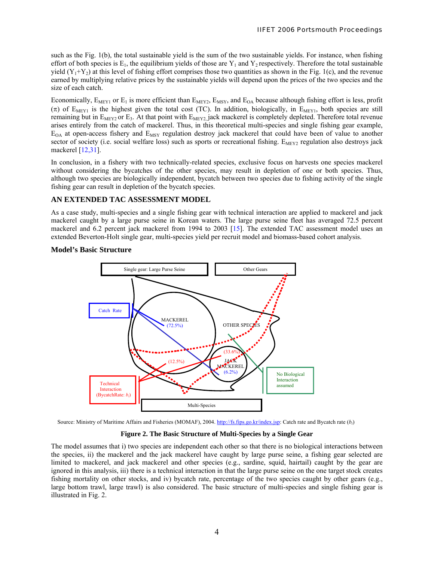such as the Fig. 1(b), the total sustainable yield is the sum of the two sustainable yields. For instance, when fishing effort of both species is  $E_1$ , the equilibrium yields of those are  $Y_1$  and  $Y_2$  respectively. Therefore the total sustainable yield  $(Y_1+Y_2)$  at this level of fishing effort comprises those two quantities as shown in the Fig. 1(c), and the revenue earned by multiplying relative prices by the sustainable yields will depend upon the prices of the two species and the size of each catch.

Economically,  $E_{MEY1}$  or  $E_1$  is more efficient than  $E_{MEY2}$ ,  $E_{MSV}$ , and  $E_{OA}$  because although fishing effort is less, profit ( $\pi$ ) of E<sub>MEY1</sub> is the highest given the total cost (TC). In addition, biologically, in E<sub>MEY1</sub>, both species are still remaining but in  $E_{MEY2}$  or  $E_3$ . At that point with  $E_{MEY2}$  jack mackerel is completely depleted. Therefore total revenue arises entirely from the catch of mackerel. Thus, in this theoretical multi-species and single fishing gear example,  $E_{OA}$  at open-access fishery and  $E_{MSY}$  regulation destroy jack mackerel that could have been of value to another sector of society (i.e. social welfare loss) such as sports or recreational fishing.  $E_{MEX2}$  regulation also destroys jack mackerel [12,31].

In conclusion, in a fishery with two technically-related species, exclusive focus on harvests one species mackerel without considering the bycatches of the other species, may result in depletion of one or both species. Thus, although two species are biologically independent, bycatch between two species due to fishing activity of the single fishing gear can result in depletion of the bycatch species.

# **AN EXTENDED TAC ASSESSMENT MODEL**

As a case study, multi-species and a single fishing gear with technical interaction are applied to mackerel and jack mackerel caught by a large purse seine in Korean waters. The large purse seine fleet has averaged 72.5 percent mackerel and 6.2 percent jack mackerel from 1994 to 2003 [15]. The extended TAC assessment model uses an extended Beverton-Holt single gear, multi-species yield per recruit model and biomass-based cohort analysis.

## **Model's Basic Structure**



Source: Ministry of Maritime Affairs and Fisheries (MOMAF), 2004. <http://fs.fips.go.kr/index.jsp>: Catch rate and Bycatch rate (*bi*)

### **Figure 2. The Basic Structure of Multi-Species by a Single Gear**

The model assumes that i) two species are independent each other so that there is no biological interactions between the species, ii) the mackerel and the jack mackerel have caught by large purse seine, a fishing gear selected are limited to mackerel, and jack mackerel and other species (e.g., sardine, squid, hairtail) caught by the gear are ignored in this analysis, iii) there is a technical interaction in that the large purse seine on the one target stock creates fishing mortality on other stocks, and iv) bycatch rate, percentage of the two species caught by other gears (e.g., large bottom trawl, large trawl) is also considered. The basic structure of multi-species and single fishing gear is illustrated in Fig. 2.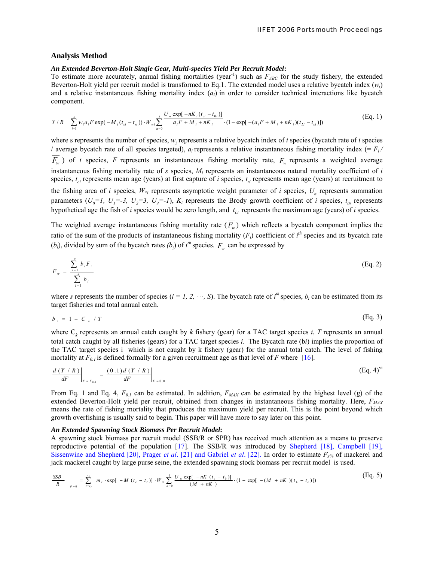#### **Analysis Method**

#### *An Extended Beverton-Holt Single Gear, Multi-species Yield Per Recruit Model***:**

To estimate more accurately, annual fishing mortalities (year<sup>-1</sup>) such as  $F_{ABC}$  for the study fishery, the extended Beverton-Holt yield per recruit model is transformed to Eq.1. The extended model uses a relative bycatch index (*wi*) and a relative instantaneous fishing mortality index (*ai*) in order to consider technical interactions like bycatch component.

$$
Y/R = \sum_{i=1}^{s} w_i a_i F \exp(-M_i (t_{ci} - t_{ri})) \cdot W_{\infty i} \sum_{n=0}^{3} \frac{U_n \exp[-nK_i (t_{ci} - t_{0i})]}{a_i F + M_i + nK_i} \cdot (1 - \exp[-(a_i F + M_i + nK_i)(t_{Li} - t_{ci})])
$$
(Eq. 1)

where s represents the number of species,  $w_i$  represents a relative bycatch index of *i* species (bycatch rate of *i* species / average bycatch rate of all species targeted),  $a_i$  represents a relative instantaneous fishing mortality index (=  $F_i$ /  $\overline{F_w}$ ) of *i* species, *F* represents an instantaneous fishing mortality rate,  $\overline{F_w}$  represents a weighted average instantaneous fishing mortality rate of *s* species, *Mi* represents an instantaneous natural mortality coefficient of *i*  species,  $t_{ci}$  represents mean age (years) at first capture of *i* species,  $t_{ri}$  represents mean age (years) at recruitment to the fishing area of *i* species,  $W_{\alpha i}$  represents asymptotic weight parameter of *i* species,  $U_n$  represents summation parameters  $(U_0=1, U_1=-3, U_2=3, U_3=-1)$ ,  $K_i$  represents the Brody growth coefficient of *i* species,  $t_{0i}$  represents hypothetical age the fish of  $i$  species would be zero length, and  $t_{Li}$  represents the maximum age (years) of  $i$  species.

The weighted average instantaneous fishing mortality rate  $(F_w)$  which reflects a bycatch component implies the ratio of the sum of the products of instantaneous fishing mortality  $(F_i)$  coefficient of  $i<sup>th</sup>$  species and its bycatch rate  $(b_i)$ , divided by sum of the bycatch rates  $(b_i)$  of  $i^h$  species.  $\overline{F_w}$  can be expressed by

$$
\overline{F_w} = \frac{\sum_{i=1}^{s} b_i F_i}{\sum_{i=1}^{s} b_i}
$$
 (Eq. 2)

where *s* represents the number of species ( $i = 1, 2, \dots$ , S). The bycatch rate of  $i<sup>th</sup>$  species,  $b<sub>i</sub>$  can be estimated from its target fisheries and total annual catch.

$$
b_{i} = 1 - C_{k} / T
$$
 (Eq. 3)

where  $C_k$  represents an annual catch caught by  $k$  fishery (gear) for a TAC target species  $i$ ,  $T$  represents an annual total catch caught by all fisheries (gears) for a TAC target species *i*. The Bycatch rate (b*i*) implies the proportion of the TAC target species i which is not caught by k fishery (gear) for the annual total catch. The level of fishing mortality at  $F_{0,I}$  is defined formally for a given recruitment age as that level of *F* where [16].

$$
\left. \frac{d(Y/R)}{dF} \right|_{F = F_{0,1}} = \left. \frac{(0.1) d(Y/R)}{dF} \right|_{F = 0.0}
$$
\n(Eq. 4)<sup>vi</sup>

From Eq. 1 and Eq. 4,  $F_{0,I}$  can be estimated. In addition,  $F_{MAX}$  can be estimated by the highest level (g) of the extended Beverton-Holt yield per recruit, obtained from changes in instantaneous fishing mortality. Here,  $F_{MAX}$ means the rate of fishing mortality that produces the maximum yield per recruit. This is the point beyond which growth overfishing is usually said to begin. This paper will have more to say later on this point.

## *An Extended Spawning Stock Biomass Per Recruit Model***:**

A spawning stock biomass per recruit model (SSB/R or SPR) has received much attention as a means to preserve reproductive potential of the population [17]. The SSB/R was introduced by Shepherd [18], Campbell [19], Sissenwine and Shepherd [20], Prager *et al*. [21] and Gabriel *et al*. [22]. In order to estimate *Fx%* of mackerel and jack mackerel caught by large purse seine, the extended spawning stock biomass per recruit model is used.

$$
\frac{SSB}{R} \bigg|_{F=0} = \sum_{t=t_r}^{t_2} m_t \cdot \exp[-M(t_c - t_r)] \cdot W_{\infty} \sum_{n=0}^{3} \frac{U_n \exp[-nK(t_c - t_0)]}{(M + nK)} \cdot (1 - \exp[-(M + nK)(t_L - t_c)]) \tag{Eq. 5}
$$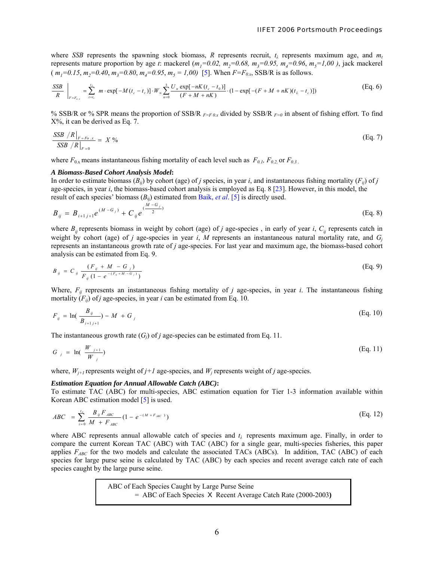where *SSB* represents the spawning stock biomass, *R* represents recruit,  $t<sub>\lambda</sub>$  represents maximum age, and  $m<sub>t</sub>$ represents mature proportion by age *t*: mackerel  $(m_1=0.02, m_2=0.68, m_3=0.95, m_4=0.96, m_5=1,00)$ , jack mackerel  $(m_1=0.15, m_2=0.40, m_3=0.80, m_4=0.95, m_5=1,00)$  [5]. When  $F=F_{0x}$ , SSB/R is as follows.

$$
\frac{SSB}{R}\bigg|_{F=F_{o,x}} = \sum_{t=t_r}^{t_\lambda} m \cdot \exp[-M(t_c - t_r)] \cdot W_{\infty} \sum_{n=0}^3 \frac{U_n \exp[-nK(t_c - t_0)]}{(F + M + nK)} \cdot (1 - \exp[-(F + M + nK)(t_L - t_c)])
$$
\n(Eq. 6)

% SSB/R or % SPR means the proportion of SSB/R *F=F 0.x* divided by SSB/R *F=0* in absent of fishing effort. To find X%, it can be derived as Eq. 7.

$$
\frac{\text{SSB } / R \big|_{F = F_0 \dots x}}{\text{SSB } / R \big|_{F = 0}} = X \%
$$
\n(Eq. 7)

where  $F_{0x}$  means instantaneous fishing mortality of each level such as  $F_{0.1}$ ,  $F_{0.2}$ , or  $F_{0.3}$ .

#### *A Biomass-Based Cohort Analysis Model***:**

In order to estimate biomass  $(B_{ij})$  by cohort (age) of *j* species, in year *i*, and instantaneous fishing mortality ( $F_{ij}$ ) of *j* age*-*species, in year *i*, the biomass-based cohort analysis is employed as Eq. 8 [23]. However, in this model, the result of each species' biomass (*B*ij) estimated from Baik, *et al*. [5] is directly used.

$$
B_{ij} = B_{i+1j+1} e^{(M-G_j)} + C_{ij} e^{(\frac{M-G_j}{2})}
$$
 (Eq. 8)

where  $B_{ij}$  represents biomass in weight by cohort (age) of *j* age-species, in early of year *i*,  $C_{ij}$  represents catch in weight by cohort (age) of *j* age-species in year *i*, *M* represents an instantaneous natural mortality rate, and  $G_i$ represents an instantaneous growth rate of *j* age-species. For last year and maximum age, the biomass-based cohort analysis can be estimated from Eq. 9.

$$
B_{ij} = C_{ij} \frac{(F_{ij} + M - G_j)}{F_{ij} (1 - e^{-(F_{ij} + M - G_j)})}
$$
(Eq. 9)

Where,  $F_{ij}$  represents an instantaneous fishing mortality of *j* age-species, in year *i*. The instantaneous fishing mortality  $(F_{ii})$  of *j* age-species, in year *i* can be estimated from Eq. 10.

$$
F_{ij} = \ln(\frac{B_{ij}}{B_{i+1j+1}}) - M + G_{j}
$$
 (Eq. 10)

The instantaneous growth rate  $(G_i)$  of *j* age-species can be estimated from Eq. 11.

$$
G_j = \ln\left(\frac{W_{j+1}}{W_j}\right) \tag{Eq. 11}
$$

where,  $W_{j+1}$  represents weight of  $j+1$  age-species, and  $W_j$  represents weight of  $j$  age-species.

## *Estimation Equation for Annual Allowable Catch (ABC)***:**

To estimate TAC (ABC) for multi-species, ABC estimation equation for Tier 1-3 information available within Korean ABC estimation model [5] is used.

$$
ABC = \sum_{i=0}^{t_A} \frac{B_{ij} F_{ABC}}{M + F_{ABC}} (1 - e^{-(M + F_{ABC})})
$$
(Eq. 12)

where ABC represents annual allowable catch of species and *t<sup>λ</sup>* represents maximum age. Finally, in order to compare the current Korean TAC (ABC) with TAC (ABC) for a single gear, multi-species fisheries, this paper applies  $F_{ABC}$  for the two models and calculate the associated TACs (ABCs). In addition, TAC (ABC) of each species for large purse seine is calculated by TAC (ABC) by each species and recent average catch rate of each species caught by the large purse seine.

> ABC of Each Species Caught by Large Purse Seine = ABC of Each Species X Recent Average Catch Rate (2000-2003**)**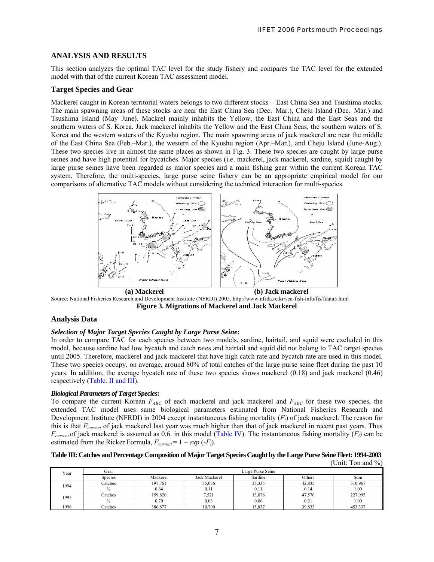# **ANALYSIS AND RESULTS**

This section analyzes the optimal TAC level for the study fishery and compares the TAC level for the extended model with that of the current Korean TAC assessment model.

## **Target Species and Gear**

Mackerel caught in Korean territorial waters belongs to two different stocks – East China Sea and Tsushima stocks. The main spawning areas of these stocks are near the East China Sea (Dec.–Mar.), Cheju Island (Dec.–Mar.) and Tsushima Island (May–June). Mackrel mainly inhabits the Yellow, the East China and the East Seas and the southern waters of S. Korea. Jack mackerel inhabits the Yellow and the East China Seas, the southern waters of S. Korea and the western waters of the Kyushu region. The main spawning areas of jack mackerel are near the middle of the East China Sea (Feb.–Mar.), the western of the Kyushu region (Apr.–Mar.), and Cheju Island (June-Aug.). These two species live in almost the same places as shown in Fig. 3. These two species are caught by large purse seines and have high potential for bycatches. Major species (i.e. mackerel, jack mackerel, sardine, squid) caught by large purse seines have been regarded as major species and a main fishing gear within the current Korean TAC system. Therefore, the multi-species, large purse seine fishery can be an appropriate empirical model for our comparisons of alternative TAC models without considering the technical interaction for multi-species.



Source: National Fisheries Research and Development Institute (NFRDI) 2005. http://www.nfrda.re.kr/sea-fish-info/fis/fdata5.html **Figure 3. Migrations of Mackerel and Jack Mackerel** 

## **Analysis Data**

## *Selection of Major Target Species Caught by Large Purse Seine***:**

In order to compare TAC for each species between two models, sardine, hairtail, and squid were excluded in this model, because sardine had low bycatch and catch rates and hairtail and squid did not belong to TAC target species until 2005. Therefore, mackerel and jack mackerel that have high catch rate and bycatch rate are used in this model. These two species occupy, on average, around 80% of total catches of the large purse seine fleet during the past 10 years. In addition, the average bycatch rate of these two species shows mackerel (0.18) and jack mackerel (0.46) respectively (Table. II and III).

## *Biological Parameters of Target Species***:**

To compare the current Korean  $F_{ABC}$  of each mackerel and jack mackerel and  $F_{ABC}$  for these two species, the extended TAC model uses same biological parameters estimated from National Fisheries Research and Development Institute (NFRDI) in 2004 except instantaneous fishing mortality (*Fi*) of jack mackerel. The reason for this is that *Fcurrent* of jack mackerel last year was much higher than that of jack mackerel in recent past years. Thus  $F_{current}$  of jack mackerel is assumed as 0.6. in this model (Table IV). The instantaneous fishing mortality  $(F_i)$  can be estimated from the Ricker Formula,  $F_{current} = 1 - exp(-F_i)$ .

#### **Table III: Catches and Percentage Composition of Major Target Species Caught by the Large Purse Seine Fleet: 1994-2003** (Unit: Ton and %)

| Year | Gear           |          |               |         |        |         |
|------|----------------|----------|---------------|---------|--------|---------|
|      | <b>Species</b> | Mackerel | Jack Mackerel | Sardine | Others | Sum     |
| 1994 | Catches        | 197.761  | 35.036        | 35.335  | 42.835 | 310.967 |
|      |                | 0.64     | 0.11          | 0.11    | 0.14   | 1.00    |
| 1995 | Catches        | 159.820  | 7,521         | 13,078  | 47,576 | 227,995 |
|      |                | 0.70     | 0.03          | 0.06    | 0.21   | 1.00    |
| 1996 | Catches        | 386,877  | 10,790        | 15,837  | 39,833 | 453,337 |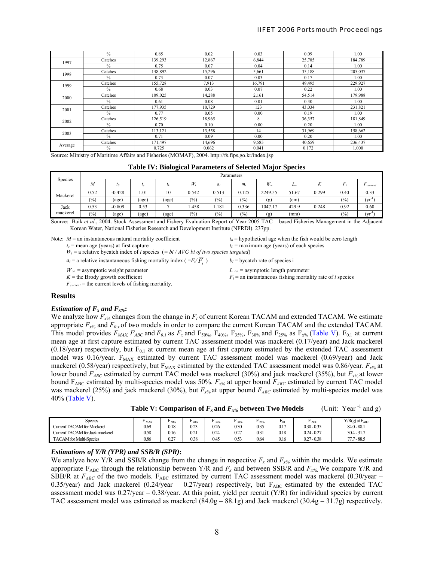|         | $\%$    | 0.85    | 0.02   | 0.03   | 0.09   | 00.1    |
|---------|---------|---------|--------|--------|--------|---------|
| 1997    | Catches | 139,293 | 12,867 | 6,844  | 25,785 | 184,789 |
|         | $\%$    | 0.75    | 0.07   | 0.04   | 0.14   | .00     |
| 1998    | Catches | 148,892 | 15,296 | 5,661  | 35,188 | 205,037 |
|         | $\%$    | 0.73    | 0.07   | 0.03   | 0.17   | 1.00    |
| 1999    | Catches | 155,728 | 7,913  | 16,791 | 49,495 | 229,927 |
|         | $\%$    | 0.68    | 0.03   | 0.07   | 0.22   | 1.00    |
| 2000    | Catches | 109,025 | 14,288 | 2,161  | 54,514 | 179,988 |
|         | $\%$    | 0.61    | 0.08   | 0.01   | 0.30   | .00     |
| 2001    | Catches | 177,935 | 10,729 | 123    | 43,034 | 231,821 |
|         | $\%$    | 0.77    | 0.05   | 0.00   | 0.19   | 1.00    |
| 2002    | Catches | 126,519 | 18,965 | 8      | 36,357 | 181,849 |
|         | $\%$    | 0.70    | 0.10   | 0.00   | 0.20   | 00.1    |
| 2003    | Catches | 113,121 | 13,558 | 14     | 31,969 | 158,662 |
|         | $\%$    | 0.71    | 0.09   | 0.00   | 0.20   | 00.     |
| Average | Catches | 171,497 | 14,696 | 9,585  | 40,659 | 236,437 |
|         | $\%$    | 0.725   | 0.062  | 0.041  | 0.172  | 1.000   |

Source: Ministry of Maritime Affairs and Fisheries (MOMAF), 2004. http://fs.fips.go.kr/index.jsp

| Species  |      | Parameters |           |       |                 |               |       |                          |           |       |        |                   |  |
|----------|------|------------|-----------|-------|-----------------|---------------|-------|--------------------------|-----------|-------|--------|-------------------|--|
|          | M    | $t_0$      | $\iota_c$ | ιL    | $W_i$           | $a_i$         | $m_i$ | $W_{\infty}$             | $L\infty$ | Δ.    |        | $\sim$<br>current |  |
| Mackerel | 0.52 | $-0.428$   | 1.01      | 10    | 0.542           | 0.513         | 0.125 | 2249.55                  | 51.67     | 0.299 | 0.40   | 0.33              |  |
|          | (%)  | (age)      | (age)     | (age) | $\frac{6}{2}$   | (%)           | (0/0) | (g)                      | (cm)      |       | $(\%)$ | (yr'              |  |
| Jack     | 0.53 | $-0.809$   | 0.53      |       | .458            | 1.181         | 0.336 | 1047.1<br>1 <sub>7</sub> | 429.9     | 0.248 | 0.92   | 0.60              |  |
| mackerel | (%)  | (age)      | (age)     | (age) | $\frac{(0)}{0}$ | $\frac{6}{6}$ | (%)   | (g)                      | (mm)      |       | (%)    | (yr'              |  |

Source: Baik et al., 2004. Stock Assessment and Fishery Evaluation Report of Year 2005 TAC – based Fisheries Management in the Adjacent Korean Water, National Fisheries Research and Development Institute (NFRDI). 237pp.

Note:  $M =$  an instantaneous natural mortality coefficient  $t_0 =$  hypothetical age when the fish would be zero length  $t_c$  = mean age (years) at first capture  $t_c$  = maximum age (years) of each species

 $t<sub>L</sub>$  = maximum age (years) of each species

 $W_i$  = a relative bycatch index of *i* species (= bi / AVG bi of two species targeted)

 $a_i$  = a relative instantaneous fishing mortality index ( $=F_i/\overline{F_i}$ )

 $W_{\infty}$  = asymptotic weight parameter *L*  $_{\infty}$  = asymptotic length parameter

 $K =$  the Brody growth coefficient *Fi* = an instantaneous fishing mortality rate of *i* species

 $F_{current}$  = the current levels of fishing mortality.

## **Results**

#### *Estimation of*  $F_x$  *and*  $F_{x\%}$ **:**

We analyze how  $F_{x\%}$  changes from the change in  $F_i$  of current Korean TACAM and extended TACAM. We estimate appropriate  $F_{x\%}$  and  $F_{0x}$  of two models in order to compare the current Korean TACAM and the extended TACAM. This model provides  $F_{MAX}$ ,  $F_{ABC}$  and  $F_{0.1}$  as  $F_x$  and  $F_{50\%}$ ,  $F_{40\%}$ ,  $F_{35\%}$ ,  $F_{30\%}$  and  $F_{25\%}$  as  $F_{x\%}$  (Table V).  $F_{0.1}$  at current mean age at first capture estimated by current TAC assessment model was mackerel (0.17/year) and Jack mackerel  $(0.18/\text{year})$  respectively, but  $F_{0.1}$  at current mean age at first capture estimated by the extended TAC assessment model was  $0.16$ /year.  $F_{MAX}$  estimated by current TAC assessment model was mackerel  $(0.69$ /year) and Jack mackerel (0.58/year) respectively, but  $F_{MAX}$  estimated by the extended TAC assessment model was 0.86/year.  $F_{x\%}$  at lower bound *F<sub>ABC</sub>* estimated by current TAC model was mackerel (30%) and jack mackerel (35%), but *F<sub>x%</sub>* at lower bound F<sub>ABC</sub> estimated by multi-species model was 50%.  $F_{x\%}$  at upper bound  $F_{ABC}$  estimated by current TAC model was mackerel (25%) and jack mackerel (30%), but  $F_{x\%}$  at upper bound  $F_{ABC}$  estimated by multi-species model was 40% (Table V).

 **Table V: Comparison of**  $F_x$  **and**  $F_{x%}$  **between Two Models (Unit: Year <sup>-1</sup> and g)** 

 $b_i$  = bycatch rate of species i

| <b>Species</b>                  | $\sim$<br>г мах | 50%  | ACD           | 35%  | <b>DOM</b> | '25% | $_{\rm r_{01}}$ | ABC           | $V/R(g)$ at $F_{ABC}$ |
|---------------------------------|-----------------|------|---------------|------|------------|------|-----------------|---------------|-----------------------|
| Current TACAM for Mackerel      | 0.69            | 0.18 | 0.23          | 0.26 | 0.30       | 0.35 | 0.17            | $0.30 - 0.35$ | $84.0 - 88.1$         |
| Current TACAM for Jack mackerel | 0.58            | 0.16 | $0.2^{\circ}$ | 0.24 | 0.27       | 0.31 | 0.18            | $0.24 - 0.27$ | $30.4 - 31.7$         |
| <b>TACAM</b> for Multi-Species  | 0.86            | 0.27 | 0.38          | 0.45 | 0.53       | 0.64 | 0.16            | $0.27 - 0.38$ | $77.7 - 88.5$         |

## *Estimations of Y/R (YPR) and SSB/R (SPR)***:**

We analyze how Y/R and SSB/R change from the change in respective  $F_x$  and  $F_{x\%}$  within the models. We estimate appropriate  $F_{ABC}$  through the relationship between Y/R and  $F_x$  and between SSB/R and  $F_{x%}$ . We compare Y/R and SBB/R at  $F_{ABC}$  of the two models.  $F_{ABC}$  estimated by current TAC assessment model was mackerel (0.30/year – 0.35/year) and Jack mackerel (0.24/year  $-$  0.27/year) respectively, but  $F_{ABC}$  estimated by the extended TAC assessment model was  $0.27$ /year –  $0.38$ /year. At this point, yield per recruit  $(Y/R)$  for individual species by current TAC assessment model was estimated as mackerel (84.0g – 88.1g) and Jack mackerel (30.4g – 31.7g) respectively.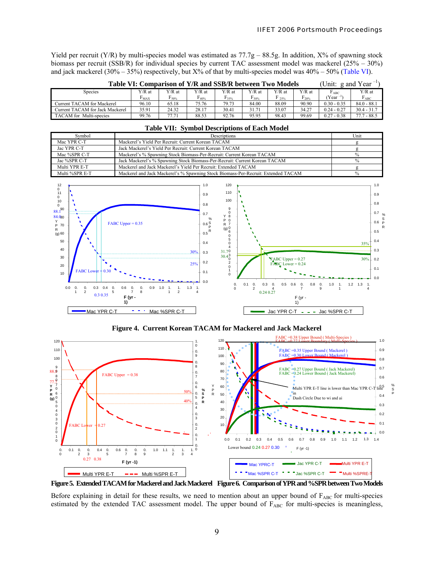Yield per recruit (Y/R) by multi-species model was estimated as  $77.7g - 88.5g$ . In addition, X% of spawning stock biomass per recruit (SSB/R) for individual species by current TAC assessment model was mackerel (25% – 30%) and jack mackerel (30% – 35%) respectively, but  $X%$  of that by multi-species model was  $40%$  – 50% (Table VI).

| Table VI: Comparison of Y/R and SSB/R between Two Models<br>g and Year<br>(Unit: |           |            |            |            |                 |          |            |                     |               |  |  |
|----------------------------------------------------------------------------------|-----------|------------|------------|------------|-----------------|----------|------------|---------------------|---------------|--|--|
| <b>Species</b>                                                                   | Y/R at    | $Y/R$ at   | $Y/R$ at   | $V/R$ at   | $Y/R$ at        | $Y/R$ at | $Y/R$ at   | г авс               | $Y/R$ at      |  |  |
|                                                                                  | $F_{MAX}$ | $r_{50\%}$ | $F_{40\%}$ | $F_{35\%}$ | $\Gamma_{30\%}$ | 2.5%     | $r_{20\%}$ | (Year <sup>–⊥</sup> | $F_{ABC}$     |  |  |
| <b>Current TACAM</b> for Mackerel                                                | 96.10     | 65.18      | 75.76      | 79.73      | 84.00           | 88.09    | 90.90      | $0.30 - 0.35$       | $84.0 - 88.1$ |  |  |
| Current TACAM for Jack Mackerel                                                  | 35.91     | 24.32      | 28.17      | 30.41      | 31.71           | 33.07    | 34.27      | $0.24 - 0.27$       | $30.4 - 31.7$ |  |  |
| TACAM for Multi-species                                                          | 99.76     | 77.71      | 88.53      | 92.76      | 95.95           | 98.43    | 99.69      | $0.27 - 0.38$       | $77.7 - 88.5$ |  |  |

| <b>Table VII: Symbol Descriptions of Each Model</b> |                                                                            |      |  |  |  |  |  |
|-----------------------------------------------------|----------------------------------------------------------------------------|------|--|--|--|--|--|
| Symbol                                              | Descriptions                                                               | Unit |  |  |  |  |  |
| Mac YPR C-T                                         | Mackerel's Yield Per Recruit: Current Korean TACAM                         |      |  |  |  |  |  |
| Jac YPR C-T                                         | Jack Mackerel's Yield Per Recruit: Current Korean TACAM                    |      |  |  |  |  |  |
| Mac %SPR C-T                                        | Mackerel's % Spawning Stock Biomass-Per-Recruit: Current Korean TACAM      |      |  |  |  |  |  |
| Jac %SPR C-T                                        | Jack Mackerel's % Spawning Stock Biomass-Per-Recruit: Current Korean TACAM |      |  |  |  |  |  |
| Multi YPR E-T                                       | Mackerel and Jack Mackerel's Yield Per Recruit: Extended TACAM             |      |  |  |  |  |  |



**Figure 4. Current Korean TACAM for Mackerel and Jack Mackerel** 



**Figure 5. Extended TACAM for Mackerel and Jack Mackerel Figure 6. Comparison of YPR and %SPR between Two Models** 

Before explaining in detail for these results, we need to mention about an upper bound of  $F_{ABC}$  for multi-species estimated by the extended TAC assessment model. The upper bound of  $F_{ABC}$  for multi-species is meaningless,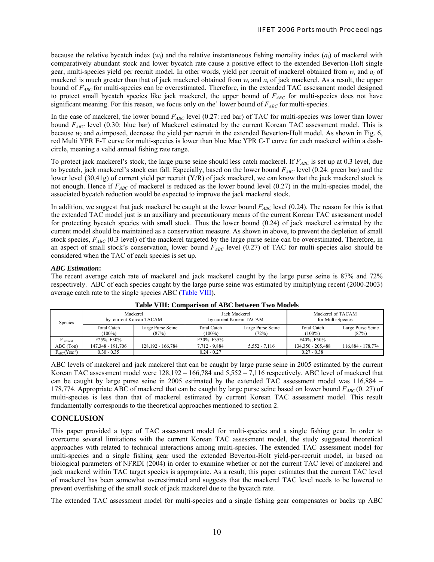because the relative bycatch index  $(w_i)$  and the relative instantaneous fishing mortality index  $(a_i)$  of mackerel with comparatively abundant stock and lower bycatch rate cause a positive effect to the extended Beverton-Holt single gear, multi-species yield per recruit model. In other words, yield per recruit of mackerel obtained from *wi* and *ai* of mackerel is much greater than that of jack mackerel obtained from  $w_i$  and  $a_i$  of jack mackerel. As a result, the upper bound of *FABC* for multi-species can be overestimated. Therefore, in the extended TAC assessment model designed to protect small bycatch species like jack mackerel, the upper bound of *FABC* for multi-species does not have significant meaning. For this reason, we focus only on the` lower bound of  $F_{ABC}$  for multi-species.

In the case of mackerel, the lower bound  $F_{ABC}$  level (0.27: red bar) of TAC for multi-species was lower than lower bound *FABC* level (0.30: blue bar) of Mackerel estimated by the current Korean TAC assessment model. This is because *wi* and *ai* imposed, decrease the yield per recruit in the extended Beverton-Holt model. As shown in Fig. 6, red Multi YPR E-T curve for multi-species is lower than blue Mac YPR C-T curve for each mackerel within a dashcircle, meaning a valid annual fishing rate range.

To protect jack mackerel's stock, the large purse seine should less catch mackerel. If  $F_{ABC}$  is set up at 0.3 level, due to bycatch, jack mackerel's stock can fall. Especially, based on the lower bound  $F_{ABC}$  level (0.24: green bar) and the lower level (30,41g) of current yield per recruit (Y/R) of jack mackerel, we can know that the jack mackerel stock is not enough. Hence if  $F_{ABC}$  of mackerel is reduced as the lower bound level (0.27) in the multi-species model, the associated bycatch reduction would be expected to improve the jack mackerel stock.

In addition, we suggest that jack mackerel be caught at the lower bound  $F_{ABC}$  level (0.24). The reason for this is that the extended TAC model just is an auxiliary and precautionary means of the current Korean TAC assessment model for protecting bycatch species with small stock. Thus the lower bound (0.24) of jack mackerel estimated by the current model should be maintained as a conservation measure. As shown in above, to prevent the depletion of small stock species,  $F_{ABC}$  (0.3 level) of the mackerel targeted by the large purse seine can be overestimated. Therefore, in an aspect of small stock's conservation, lower bound  $F_{ABC}$  level (0.27) of TAC for multi-species also should be considered when the TAC of each species is set up.

## *ABC Estimation***:**

The recent average catch rate of mackerel and jack mackerel caught by the large purse seine is 87% and 72% respectively. ABC of each species caught by the large purse seine was estimated by multiplying recent (2000-2003) average catch rate to the single species ABC (Table VIII).

| Species                         | Mackerel                        | by current Korean TACAM    | by current Korean TACAM         | Jack Mackerel              | Mackerel of TACAM<br>for Multi-Species |                            |  |
|---------------------------------|---------------------------------|----------------------------|---------------------------------|----------------------------|----------------------------------------|----------------------------|--|
|                                 | <b>Total Catch</b><br>$(100\%)$ | Large Purse Seine<br>(87%) | <b>Total Catch</b><br>$(100\%)$ | Large Purse Seine<br>(72%) | <b>Total Catch</b><br>$(100\%)$        | Large Purse Seine<br>(87%) |  |
| <sup>'</sup> critical           | F25% F30%                       |                            | F30% F35%                       |                            | F40% F50%                              |                            |  |
| ABC (Ton)                       | 147,348 - 191,706               | 128,192 - 166,784          | 7,712 - 9,884                   | $5,552 - 7,116$            | 134,350 - 205,488                      | 116,884 - 178,774          |  |
| $F_{ABC}$ (Year <sup>-1</sup> ) | $0.30 - 0.35$                   |                            | $0.24 - 0.27$                   |                            | $0.27 - 0.38$                          |                            |  |

**Table VIII: Comparison of ABC between Two Models** 

ABC levels of mackerel and jack mackerel that can be caught by large purse seine in 2005 estimated by the current Korean TAC assessment model were 128,192 – 166,784 and 5,552 – 7,116 respectively. ABC level of mackerel that can be caught by large purse seine in 2005 estimated by the extended TAC assessment model was 116,884 – 178,774. Appropriate ABC of mackerel that can be caught by large purse seine based on lower bound *FABC* (0. 27) of multi-species is less than that of mackerel estimated by current Korean TAC assessment model. This result fundamentally corresponds to the theoretical approaches mentioned to section 2.

# **CONCLUSION**

This paper provided a type of TAC assessment model for multi-species and a single fishing gear. In order to overcome several limitations with the current Korean TAC assessment model, the study suggested theoretical approaches with related to technical interactions among multi-species. The extended TAC assessment model for multi-species and a single fishing gear used the extended Beverton-Holt yield-per-recruit model, in based on biological parameters of NFRDI (2004) in order to examine whether or not the current TAC level of mackerel and jack mackerel within TAC target species is appropriate. As a result, this paper estimates that the current TAC level of mackerel has been somewhat overestimated and suggests that the mackerel TAC level needs to be lowered to prevent overfishing of the small stock of jack mackerel due to the bycatch rate.

The extended TAC assessment model for multi-species and a single fishing gear compensates or backs up ABC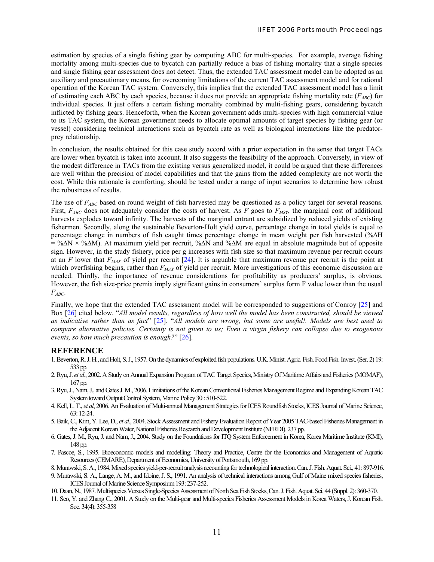estimation by species of a single fishing gear by computing ABC for multi-species. For example, average fishing mortality among multi-species due to bycatch can partially reduce a bias of fishing mortality that a single species and single fishing gear assessment does not detect. Thus, the extended TAC assessment model can be adopted as an auxiliary and precautionary means, for overcoming limitations of the current TAC assessment model and for rational operation of the Korean TAC system. Conversely, this implies that the extended TAC assessment model has a limit of estimating each ABC by each species, because it does not provide an appropriate fishing mortality rate  $(F_{ABC})$  for individual species. It just offers a certain fishing mortality combined by multi-fishing gears, considering bycatch inflicted by fishing gears. Henceforth, when the Korean government adds multi-species with high commercial value to its TAC system, the Korean government needs to allocate optimal amounts of target species by fishing gear (or vessel) considering technical interactions such as bycatch rate as well as biological interactions like the predatorprey relationship.

In conclusion, the results obtained for this case study accord with a prior expectation in the sense that target TACs are lower when bycatch is taken into account. It also suggests the feasibility of the approach. Conversely, in view of the modest difference in TACs from the existing versus generalized model, it could be argued that these differences are well within the precision of model capabilities and that the gains from the added complexity are not worth the cost. While this rationale is comforting, should be tested under a range of input scenarios to determine how robust the robustness of results.

The use of  $F_{ABC}$  based on round weight of fish harvested may be questioned as a policy target for several reasons. First,  $F_{ABC}$  does not adequately consider the costs of harvest. As  $\overline{F}$  goes to  $F_{MSY}$ , the marginal cost of additional harvests explodes toward infinity. The harvests of the marginal entrant are subsidized by reduced yields of existing fishermen. Secondly, along the sustainable Beverton-Holt yield curve, percentage change in total yields is equal to percentage change in numbers of fish caught times percentage change in mean weight per fish harvested (%∆H = %∆N × %∆M). At maximum yield per recruit, %∆N and %∆M are equal in absolute magnitude but of opposite sign. However, in the study fishery, price per g increases with fish size so that maximum revenue per recruit occurs at an *F* lower that *FMAX* of yield per recruit [24]. It is arguable that maximum revenue per recruit is the point at which overfishing begins, rather than  $F_{MAX}$  of yield per recruit. More investigations of this economic discussion are needed. Thirdly, the importance of revenue considerations for profitability as producers' surplus, is obvious. However, the fish size-price premia imply significant gains in consumers' surplus form F value lower than the usual *FABC*.

Finally, we hope that the extended TAC assessment model will be corresponded to suggestions of Conroy [25] and Box [26] cited below. "*All model results, regardless of how well the model has been constructed, should be viewed as indicative rather than as fact*" [25]. "*All models are wrong, but some are useful!. Models are best used to compare alternative policies. Certainty is not given to us; Even a virgin fishery can collapse due to exogenous events, so how much precaution is enough?*" [26].

# **REFERENCE**

- 1. Beverton, R. J. H., and Holt, S. J., 1957. On the dynamicsof exploited fish populations. U.K. Minist. Agric. Fish. Food Fish. Invest. (Ser. 2) 19: 533 pp.
- 2. Ryu, J. *et al*., 2002. A Study on Annual Expansion Program of TAC Target Species, Ministry Of Maritime Affairs and Fisheries (MOMAF), 167 pp.
- 3. Ryu, J., Nam, J., and Gates J. M., 2006. Limitations of the Korean Conventional Fisheries Management Regime and Expanding Korean TAC System toward Output Control System, Marine Policy 30 : 510-522.
- 4. Kell, L. T., *et al*, 2006. An Evaluation of Multi-annual Management Strategies for ICES Roundfish Stocks, ICES Journal of Marine Science, 63: 12-24.
- 5. Baik, C., Kim, Y. Lee, D., *et al*., 2004. Stock Assessment and Fishery Evaluation Report of Year 2005 TAC-based Fisheries Management in the Adjacent Korean Water, National Fisheries Research and Development Institute (NFRDI). 237 pp.
- 6. Gates, J. M., Ryu, J. and Nam, J., 2004. Study on the Foundations for ITQ System Enforcement in Korea, Korea Maritime Institute (KMI), 148 pp.
- 7. Pascoe, S., 1995. Bioeconomic models and modelling: Theory and Practice, Centre for the Economics and Management of Aquatic Resources (CEMARE), Department of Economics, University of Portsmouth, 169 pp.
- 8. Murawski, S. A., 1984. Mixed species yield-per-recruit analysis accounting for technological interaction. Can. J. Fish. Aquat. Sci., 41: 897-916.
- 9. Murawski, S. A., Lange, A. M., and Idoine, J. S., 1991. An analysis of technical interactions among Gulf of Maine mixed species fisheries, ICES Journal of Marine Science Symposium 193: 237-252.
- 10. Daan, N., 1987. Multispecies Versus Single-Species Assessment of North Sea Fish Stocks, Can. J. Fish. Aquat. Sci. 44 (Suppl. 2): 360-370.
- 11. Seo, Y. and Zhang C., 2001. A Study on the Multi-gear and Multi-species Fisheries Assessment Models in Korea Waters, J. Korean Fish. Soc. 34(4): 355-358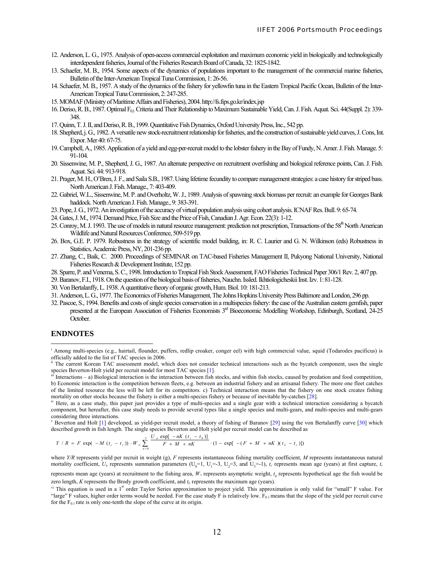- 12. Anderson, L. G., 1975. Analysis of open-access commercial exploitation and maximum economic yield in biologically and technologically interdependent fisheries, Journal of the Fisheries Research Board of Canada, 32: 1825-1842.
- 13. Schaefer, M. B., 1954. Some aspects of the dynamics of populations important to the management of the commercial marine fisheries, Bulletin of the Inter-American Tropical Tuna Commission, 1: 26-56.
- 14. Schaefer, M. B., 1957. A study of the dynamics of the fishery for yellowfin tuna in the Eastern Tropical Pacific Ocean, Bulletin of the Inter-American Tropical Tuna Commission, 2: 247-285.
- 15. MOMAF (Ministry of Maritime Affairs and Fisheries), 2004. http://fs.fips.go.kr/index.jsp
- 16. Deriso, R. B., 1987. Optimal F<sub>01</sub> Criteria and Their Relationship to Maximum Sustainable Yield, Can. J. Fish. Aquat. Sci. 44(Suppl. 2): 339-348.
- 17. Quinn, T. J. II, and Deriso, R. B., 1999. Quantitative Fish Dynamics, Oxford University Press, Inc., 542 pp.
- 18. Shepherd, j. G., 1982. A versatile new stock-recruitment relationship for fisheries, and the construction of sustainable yield curves, J. Cons, Int. Expor. Mer 40: 67-75.
- 19. Campbell, A., 1985. Application of a yield and egg-per-recruit model to the lobster fishery in the Bay of Fundy, N. Amer. J. Fish. Manage. 5: 91-104.
- 20. Sissenwine, M. P., Shepherd, J. G., 1987. An alternate perspective on recruitment overfishing and biological reference points, Can. J. Fish. Aquat. Sci. 44: 913-918.
- 21. Prager, M. H., O'Bren, J. F., and Saila S.B., 1987. Using lifetime fecundity to compare management strategies: a case history for striped bass. North American J. Fish. Manage., 7: 403-409.
- 22. Gabriel, W.L., Sissenwine, M. P. and Overholtz, W. J., 1989. Analysis of spawning stock biomass per recruit: an example for Georges Bank haddock. North American J. Fish. Manage., 9: 383-391.
- 23. Pope, J. G., 1972. An investigation of the accuracy of virtual population analysis using cohort analysis. ICNAF Res. Bull. 9: 65-74.
- 24. Gates, J. M., 1974. Demand Price, Fish Size and the Price of Fish, Canadian J. Agr. Econ. 22(3): 1-12.
- 25. Conroy, M. J. 1993. The use of models in natural resource management: prediction not prescription, Transactions of the 58<sup>th</sup> North American Wildlife and Natural Resources Conference, 509-519 pp.
- 26. Box, G.E. P. 1979. Robustness in the strategy of scientific model building, in: R. C. Laurier and G. N. Wilkinson (eds) Robustness in Statistics, Academic Press, NY, 201-236 pp.
- 27. Zhang, C., Baik, C. 2000. Proceedings of SEMINAR on TAC-based Fisheries Management II, Pukyong National University, National Fisheries Research & Development Institute, 152 pp.
- 28. Sparre, P. andVenema,S. C., 1998. Introduction to Tropical Fish Stock Assessment, FAO Fisheries Technical Paper 306/1 Rev. 2, 407 pp.
- 29. Baranov, F.I., 1918. On the question of the biological basis of fisheries, Nauchn. Issled. Ikhtiologicheskii Inst. Izv. 1: 81-128.
- 30. Von Bertalanffy, L. 1938. A quantitative theory of organic growth, Hum. Biol. 10: 181-213.
- 31. Anderson, L. G., 1977. The Economics of Fisheries Management, The Johns Hopkins University Press Baltimore and London, 296 pp.
- 32. Pascoe, S., 1994. Benefits and costs of single species conservation in a multispecies fishery: the case of the Australian eastern gemfish, paper presented at the European Association of Fisheries Economists 3rd Bioeconomic Modelling Workshop, Edinburgh, Scotland, 24-25 October.

#### **ENDNOTES**

 $\overline{a}$ 

<sup>v</sup> Beverton and Holt [1] developed, as yield-per recruit model, a theory of fishing of Baranov [29] using the von Bertalanffy curve [30] which described growth in fish length. The single species Beverton and Holt yield per recruit model can be described as

$$
Y/R = F \exp(-M(t_c - t_r)) \cdot W_{\infty} \sum_{n=0}^{3} \frac{U_n \exp[-nK(t_c - t_0)]}{F + M + nK} \cdot (1 - \exp[-(F + M + nK)(t_L - t_c)])
$$

where *Y/R* represents yield per recruit in weight (g), *F* represents instantaneous fishing mortality coefficient, *M* represents instantaneous natural mortality coefficient,  $U_n$  represents summation parameters ( $U_0$ =1,  $U_1$ =-3,  $U_2$ =3, and  $U_3$ =-1),  $t_c$  represents mean age (years) at first capture,  $t_r$ 

represents mean age (years) at recruitment to the fishing area, *W*∞ represents asymptotic weight, *t <sup>0</sup>* represents hypothetical age the fish would be

i Among multi-species (e.g., hairtail, flounder, puffers, redlip croaker, conger eel) with high commercial value, squid (Todarodes pacificus) is officially added to the list of TAC species in 2006.<br>ii The current Korean TAC assessment model, which does not consider technical interactions such as the bycatch component, uses the single

species Beverton-Holt yield per recruit model for most TAC species [1].<br>iii Interactions – a) Biological interaction is the interaction between fish stocks, and within fish stocks, caused by predation and food competition,

b) Economic interaction is the competition between fleets, e.g. between an industrial fishery and an artisanal fishery. The more one fleet catches of the limited resource the less will be left for its competitors. c) Technical interaction means that the fishery on one stock creates fishing mortality on other stocks because the fishery is either a multi-species fishery or because of inevitable by-catches [28].<br><sup>iv</sup> Here, as a case study, this paper just provides a type of multi-species and a single gear with

component, but hereafter, this case study needs to provide several types like a single species and multi-gears, and multi-species and multi-gears considering three interactions.

zero length, *K* represents the Brody growth coefficient, and  $t_L$  represents the maximum age (years).<br><sup>vi</sup> This equation is used in a 1<sup>st</sup> order Taylor Series approximation to project yield. This approximation is only v "large" F values, higher order terms would be needed. For the case study F is relatively low.  $F_{0,1}$  means that the slope of the yield per recruit curve for the  $F_{0,1}$  rate is only one-tenth the slope of the curve at its origin.